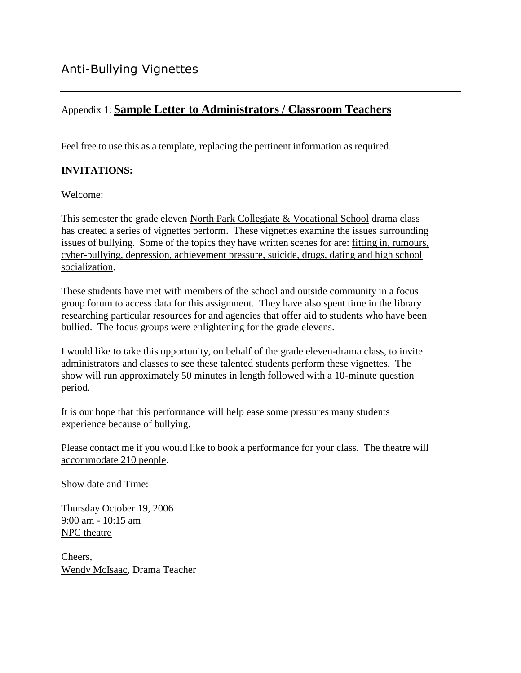### Appendix 1: **Sample Letter to Administrators / Classroom Teachers**

Feel free to use this as a template, replacing the pertinent information as required.

#### **INVITATIONS:**

Welcome:

This semester the grade eleven North Park Collegiate & Vocational School drama class has created a series of vignettes perform. These vignettes examine the issues surrounding issues of bullying. Some of the topics they have written scenes for are: fitting in, rumours, cyber-bullying, depression, achievement pressure, suicide, drugs, dating and high school socialization.

These students have met with members of the school and outside community in a focus group forum to access data for this assignment. They have also spent time in the library researching particular resources for and agencies that offer aid to students who have been bullied. The focus groups were enlightening for the grade elevens.

I would like to take this opportunity, on behalf of the grade eleven-drama class, to invite administrators and classes to see these talented students perform these vignettes. The show will run approximately 50 minutes in length followed with a 10-minute question period.

It is our hope that this performance will help ease some pressures many students experience because of bullying.

Please contact me if you would like to book a performance for your class. The theatre will accommodate 210 people.

Show date and Time:

Thursday October 19, 2006 9:00 am - 10:15 am NPC theatre

Cheers, Wendy McIsaac, Drama Teacher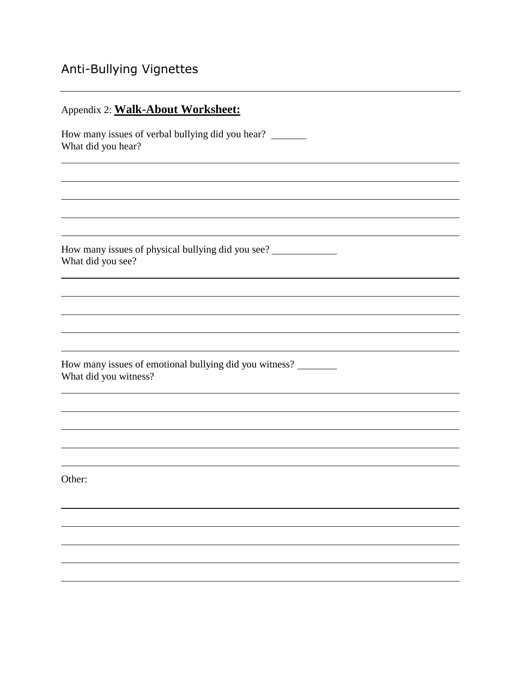# Anti-Bullying Vignettes

| Appendix 2: Walk-About Worksheet:                                               |
|---------------------------------------------------------------------------------|
| How many issues of verbal bullying did you hear?<br>What did you hear?          |
|                                                                                 |
|                                                                                 |
|                                                                                 |
| How many issues of physical bullying did you see?<br>What did you see?          |
|                                                                                 |
|                                                                                 |
|                                                                                 |
|                                                                                 |
| How many issues of emotional bullying did you witness?<br>What did you witness? |
|                                                                                 |
|                                                                                 |
|                                                                                 |
|                                                                                 |
| Other:                                                                          |
|                                                                                 |
|                                                                                 |
|                                                                                 |
|                                                                                 |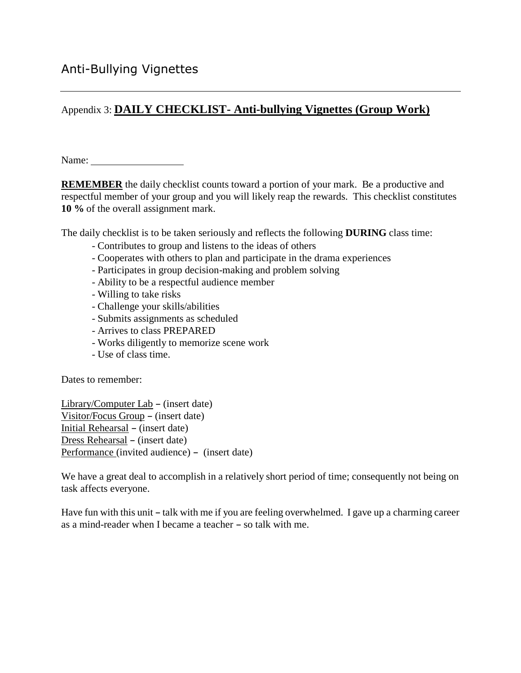## Appendix 3: **DAILY CHECKLIST- Anti-bullying Vignettes (Group Work)**

Name:

**REMEMBER** the daily checklist counts toward a portion of your mark. Be a productive and respectful member of your group and you will likely reap the rewards. This checklist constitutes **10 %** of the overall assignment mark.

The daily checklist is to be taken seriously and reflects the following **DURING** class time:

- Contributes to group and listens to the ideas of others
- Cooperates with others to plan and participate in the drama experiences
- Participates in group decision-making and problem solving
- Ability to be a respectful audience member
- Willing to take risks
- Challenge your skills/abilities
- Submits assignments as scheduled
- Arrives to class PREPARED
- Works diligently to memorize scene work
- Use of class time.

Dates to remember:

Library/Computer Lab  $-$  (insert date) Visitor/Focus Group - (insert date) Initial Rehearsal  $-$  (insert date) Dress Rehearsal – (insert date) Performance (invited audience)  $-$  (insert date)

We have a great deal to accomplish in a relatively short period of time; consequently not being on task affects everyone.

Have fun with this unit  $-$  talk with me if you are feeling overwhelmed. I gave up a charming career as a mind-reader when I became a teacher  $-$  so talk with me.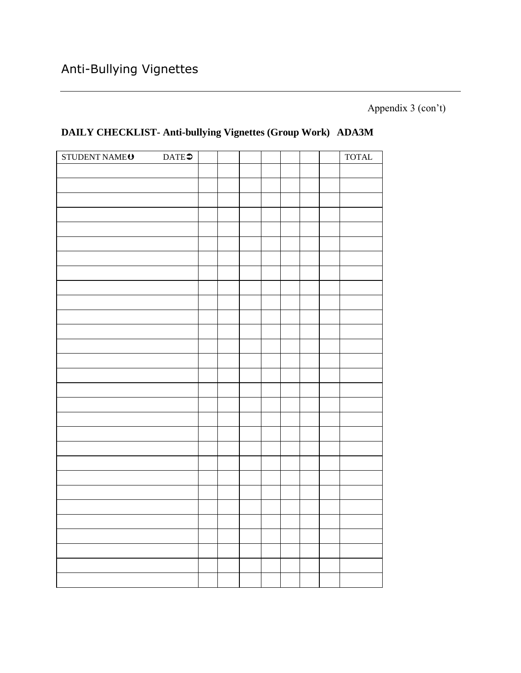Appendix 3 (con't)

| STUDENT NAME <sup>O</sup> | $\text{DATE}$ |  |  |  | <b>TOTAL</b> |
|---------------------------|---------------|--|--|--|--------------|
|                           |               |  |  |  |              |
|                           |               |  |  |  |              |
|                           |               |  |  |  |              |
|                           |               |  |  |  |              |
|                           |               |  |  |  |              |
|                           |               |  |  |  |              |
|                           |               |  |  |  |              |
|                           |               |  |  |  |              |
|                           |               |  |  |  |              |
|                           |               |  |  |  |              |
|                           |               |  |  |  |              |
|                           |               |  |  |  |              |
|                           |               |  |  |  |              |
|                           |               |  |  |  |              |
|                           |               |  |  |  |              |
|                           |               |  |  |  |              |
|                           |               |  |  |  |              |
|                           |               |  |  |  |              |
|                           |               |  |  |  |              |
|                           |               |  |  |  |              |
|                           |               |  |  |  |              |
|                           |               |  |  |  |              |
|                           |               |  |  |  |              |
|                           |               |  |  |  |              |
|                           |               |  |  |  |              |
|                           |               |  |  |  |              |
|                           |               |  |  |  |              |
|                           |               |  |  |  |              |
|                           |               |  |  |  |              |

## **DAILY CHECKLIST- Anti-bullying Vignettes (Group Work) ADA3M**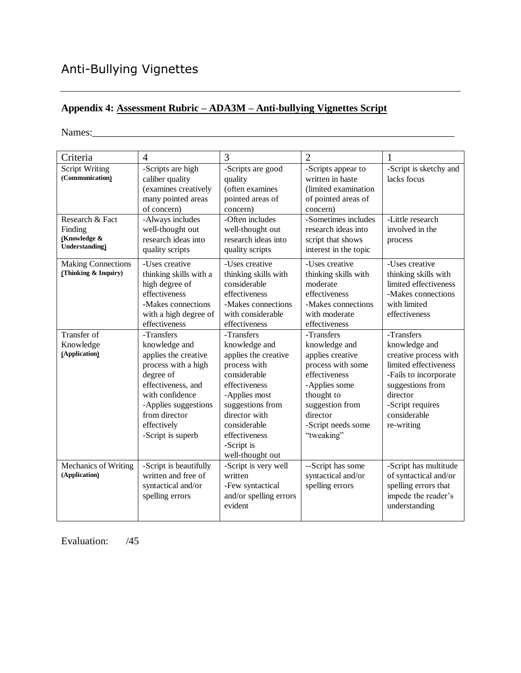## Anti-Bullying Vignettes

#### **Appendix 4: Assessment Rubric – ADA3M – Anti-bullying Vignettes Script**

Names:\_\_\_\_\_\_\_\_\_\_\_\_\_\_\_\_\_\_\_\_\_\_\_\_\_\_\_\_\_\_\_\_\_\_\_\_\_\_\_\_\_\_\_\_\_\_\_\_\_\_\_\_\_\_\_\_\_\_\_\_\_\_\_\_\_\_\_\_\_\_\_

| Criteria                                          | 4                      | 3                                 | $\overline{2}$        | 1                      |
|---------------------------------------------------|------------------------|-----------------------------------|-----------------------|------------------------|
| <b>Script Writing</b>                             | -Scripts are high      | -Scripts are good                 | -Scripts appear to    | -Script is sketchy and |
| (Communication)                                   | caliber quality        | quality                           | written in haste      | lacks focus            |
|                                                   | (examines creatively   | (often examines                   | (limited examination) |                        |
|                                                   | many pointed areas     | pointed areas of                  | of pointed areas of   |                        |
|                                                   | of concern)            | concern)                          | concern)              |                        |
| Research & Fact                                   | -Always includes       | -Often includes                   | -Sometimes includes   | -Little research       |
| Finding                                           | well-thought out       | well-thought out                  | research ideas into   | involved in the        |
| (Knowledge &                                      | research ideas into    | research ideas into               | script that shows     | process                |
| <b>Understanding</b> )                            | quality scripts        | quality scripts                   | interest in the topic |                        |
|                                                   | -Uses creative         | -Uses creative                    | -Uses creative        | -Uses creative         |
| <b>Making Connections</b><br>(Thinking & Inquiry) | thinking skills with a | thinking skills with              | thinking skills with  | thinking skills with   |
|                                                   | high degree of         | considerable                      | moderate              | limited effectiveness  |
|                                                   | effectiveness          | effectiveness                     | effectiveness         | -Makes connections     |
|                                                   | -Makes connections     | -Makes connections                | -Makes connections    | with limited           |
|                                                   | with a high degree of  | with considerable                 | with moderate         | effectiveness          |
|                                                   | effectiveness          | effectiveness                     | effectiveness         |                        |
| Transfer of                                       | -Transfers             | -Transfers                        | -Transfers            | -Transfers             |
| Knowledge                                         | knowledge and          | knowledge and                     | knowledge and         | knowledge and          |
| (Application)                                     | applies the creative   | applies the creative              | applies creative      | creative process with  |
|                                                   | process with a high    | process with                      | process with some     | limited effectiveness  |
|                                                   | degree of              | considerable                      | effectiveness         | -Fails to incorporate  |
|                                                   | effectiveness, and     | effectiveness                     | -Applies some         | suggestions from       |
|                                                   | with confidence        | -Applies most                     | thought to            | director               |
|                                                   | -Applies suggestions   | suggestions from                  | suggestion from       | -Script requires       |
|                                                   | from director          | director with                     | director              | considerable           |
|                                                   | effectively            | considerable                      | -Script needs some    | re-writing             |
|                                                   | -Script is superb      | effectiveness                     | "tweaking"            |                        |
|                                                   |                        | -Script is                        |                       |                        |
|                                                   |                        | well-thought out                  |                       |                        |
| Mechanics of Writing                              | -Script is beautifully | -Script is very well              | --Script has some     | -Script has multitude  |
| (Application)                                     | written and free of    | written                           | syntactical and/or    | of syntactical and/or  |
|                                                   | syntactical and/or     | -Few syntactical                  | spelling errors       | spelling errors that   |
|                                                   | spelling errors        | and/or spelling errors<br>evident |                       | impede the reader's    |
|                                                   |                        |                                   |                       | understanding          |
|                                                   |                        |                                   |                       |                        |

Evaluation: /45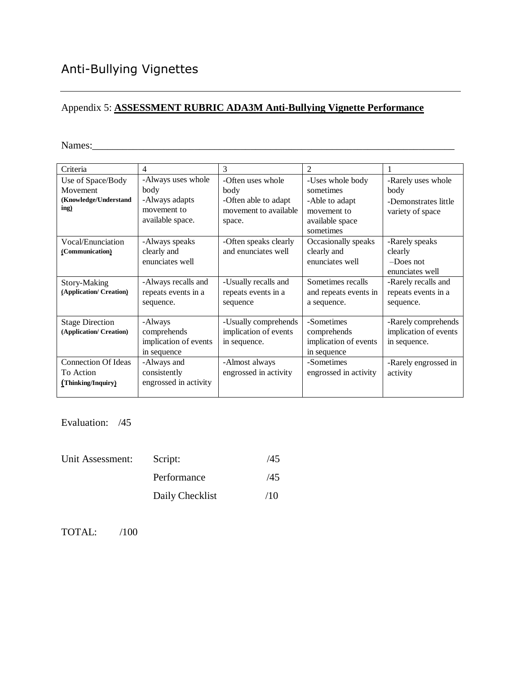#### Appendix 5: **ASSESSMENT RUBRIC ADA3M Anti-Bullying Vignette Performance**

#### Names:\_\_\_\_\_\_\_\_\_\_\_\_\_\_\_\_\_\_\_\_\_\_\_\_\_\_\_\_\_\_\_\_\_\_\_\_\_\_\_\_\_\_\_\_\_\_\_\_\_\_\_\_\_\_\_\_\_\_\_\_\_\_\_\_\_\_\_\_\_\_\_

| Criteria                   | $\overline{4}$        | 3                     | $\overline{c}$        |                       |
|----------------------------|-----------------------|-----------------------|-----------------------|-----------------------|
| Use of Space/Body          | -Always uses whole    | -Often uses whole     | -Uses whole body      | -Rarely uses whole    |
| Movement                   | body                  | body                  | sometimes             | body                  |
| (Knowledge/Understand      | -Always adapts        | -Often able to adapt  | -Able to adapt        | -Demonstrates little  |
| ing)                       | movement to           | movement to available | movement to           | variety of space      |
|                            | available space.      | space.                | available space       |                       |
|                            |                       |                       | sometimes             |                       |
| Vocal/Enunciation          | -Always speaks        | -Often speaks clearly | Occasionally speaks   | -Rarely speaks        |
| (Communication)            | clearly and           | and enunciates well   | clearly and           | clearly               |
|                            | enunciates well       |                       | enunciates well       | $-Does not$           |
|                            |                       |                       |                       | enunciates well       |
| Story-Making               | -Always recalls and   | -Usually recalls and  | Sometimes recalls     | -Rarely recalls and   |
| (Application/ Creation)    | repeats events in a   | repeats events in a   | and repeats events in | repeats events in a   |
|                            | sequence.             | sequence              | a sequence.           | sequence.             |
|                            |                       |                       |                       |                       |
| <b>Stage Direction</b>     | -Always               | -Usually comprehends  | -Sometimes            | -Rarely comprehends   |
| (Application/ Creation)    | comprehends           | implication of events | comprehends           | implication of events |
|                            | implication of events | in sequence.          | implication of events | in sequence.          |
|                            | in sequence           |                       | in sequence           |                       |
| <b>Connection Of Ideas</b> | -Always and           | -Almost always        | -Sometimes            | -Rarely engrossed in  |
| To Action                  | consistently          | engrossed in activity | engrossed in activity | activity              |
| (Thinking/Inquiry)         | engrossed in activity |                       |                       |                       |
|                            |                       |                       |                       |                       |

Evaluation: /45

| Unit Assessment: | Script:         | /45 |  |
|------------------|-----------------|-----|--|
|                  | Performance     | /45 |  |
|                  | Daily Checklist | /10 |  |

TOTAL: /100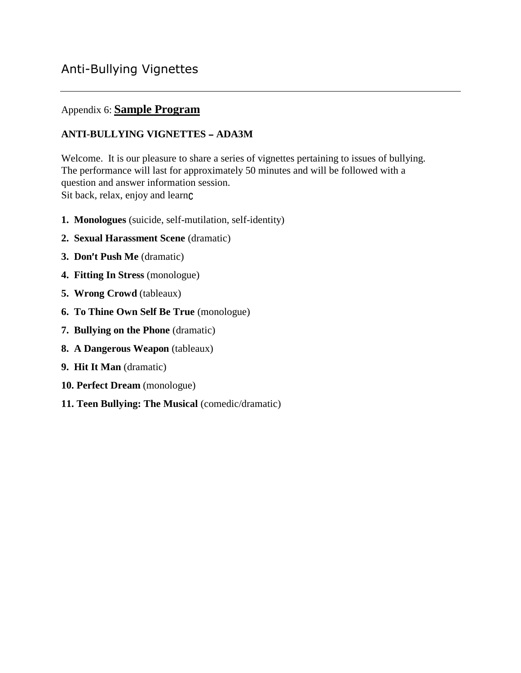#### Appendix 6: **Sample Program**

#### **ANTI-BULLYING VIGNETTES - ADA3M**

Welcome. It is our pleasure to share a series of vignettes pertaining to issues of bullying. The performance will last for approximately 50 minutes and will be followed with a question and answer information session. Sit back, relax, enjoy and learn<sub>C</sub>

- **1. Monologues** (suicide, self-mutilation, self-identity)
- **2. Sexual Harassment Scene** (dramatic)
- **3. Don't Push Me** (dramatic)
- **4. Fitting In Stress** (monologue)
- **5. Wrong Crowd** (tableaux)
- **6. To Thine Own Self Be True** (monologue)
- **7. Bullying on the Phone** (dramatic)
- **8. A Dangerous Weapon** (tableaux)
- **9. Hit It Man** (dramatic)
- **10. Perfect Dream** (monologue)
- **11. Teen Bullying: The Musical** (comedic/dramatic)